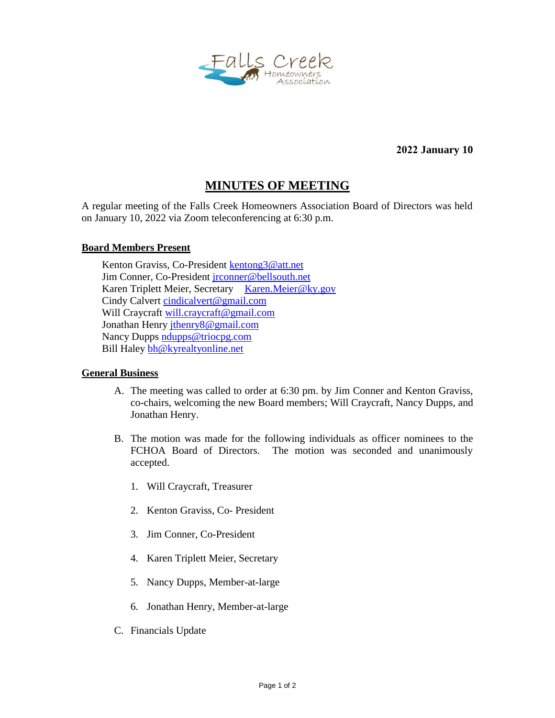

**2022 January 10**

## **MINUTES OF MEETING**

A regular meeting of the Falls Creek Homeowners Association Board of Directors was held on January 10, 2022 via Zoom teleconferencing at 6:30 p.m.

## **Board Members Present**

Kenton Graviss, Co-President [kentong3@att.net](mailto:kentong3@att.net) Jim Conner, Co-President [jrconner@bellsouth.net](mailto:jrconner@bellsouth.net) Karen Triplett Meier, Secretary [Karen.Meier@ky.gov](mailto:Karen.Meier@ky.gov) Cindy Calvert [cindicalvert@gmail.com](mailto:cindicalvert@gmail.com) Will Craycraft [will.craycraft@gmail.com](mailto:will.craycraft@gmail.com) Jonathan Henry [jthenry8@gmail.com](mailto:jthenry8@gmail.com) Nancy Dupps [ndupps@triocpg.com](mailto:ndupps@triocpg.com) Bill Haley [bh@kyrealtyonline.net](mailto:bh@kyrealtyonline.net)

## **General Business**

- A. The meeting was called to order at 6:30 pm. by Jim Conner and Kenton Graviss, co-chairs, welcoming the new Board members; Will Craycraft, Nancy Dupps, and Jonathan Henry.
- B. The motion was made for the following individuals as officer nominees to the FCHOA Board of Directors. The motion was seconded and unanimously accepted.
	- 1. Will Craycraft, Treasurer
	- 2. Kenton Graviss, Co- President
	- 3. Jim Conner, Co-President
	- 4. Karen Triplett Meier, Secretary
	- 5. Nancy Dupps, Member-at-large
	- 6. Jonathan Henry, Member-at-large
- C. Financials Update